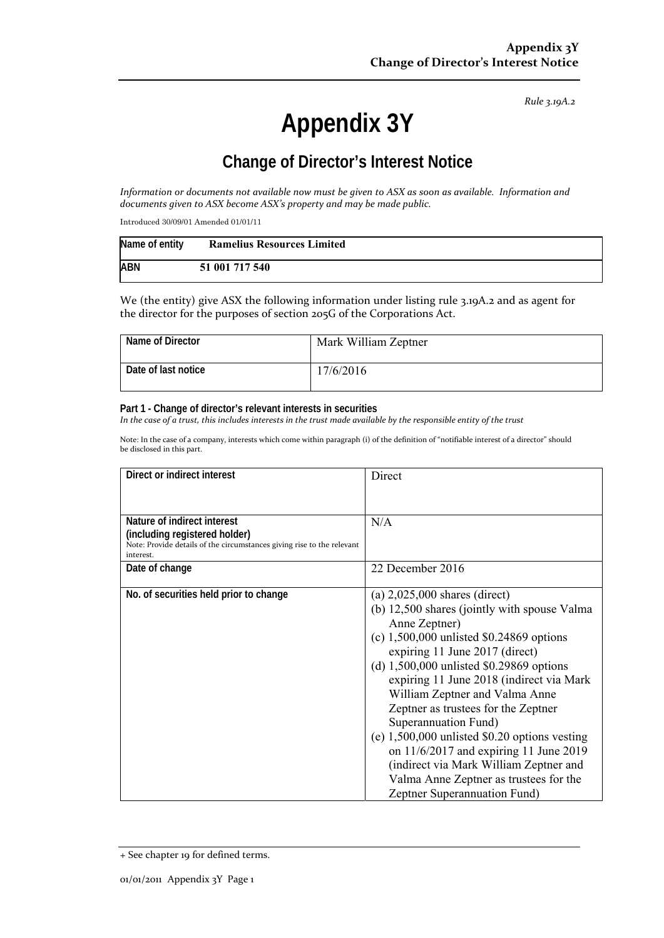*Rule 3.19A.2*

# **Appendix 3Y**

# **Change of Director's Interest Notice**

Information or documents not available now must be given to ASX as soon as available. Information and *documents given to ASX become ASX's property and may be made public.*

Introduced 30/09/01 Amended 01/01/11

| Name of entity | <b>Ramelius Resources Limited</b> |
|----------------|-----------------------------------|
| <b>ABN</b>     | 51 001 717 540                    |

We (the entity) give ASX the following information under listing rule 3.19A.2 and as agent for the director for the purposes of section 205G of the Corporations Act.

| Name of Director    | Mark William Zeptner |
|---------------------|----------------------|
| Date of last notice | 17/6/2016            |

#### **Part 1 - Change of director's relevant interests in securities**

In the case of a trust, this includes interests in the trust made available by the responsible entity of the trust

Note: In the case of a company, interests which come within paragraph (i) of the definition of "notifiable interest of a director" should be disclosed in this part.

| Direct or indirect interest                                                                                                                         | Direct                                                                                                                                                                                                                                                                                                                                                                                                                                                                                                                                                                                         |
|-----------------------------------------------------------------------------------------------------------------------------------------------------|------------------------------------------------------------------------------------------------------------------------------------------------------------------------------------------------------------------------------------------------------------------------------------------------------------------------------------------------------------------------------------------------------------------------------------------------------------------------------------------------------------------------------------------------------------------------------------------------|
| Nature of indirect interest<br>(including registered holder)<br>Note: Provide details of the circumstances giving rise to the relevant<br>interest. | N/A                                                                                                                                                                                                                                                                                                                                                                                                                                                                                                                                                                                            |
| Date of change                                                                                                                                      | 22 December 2016                                                                                                                                                                                                                                                                                                                                                                                                                                                                                                                                                                               |
| No. of securities held prior to change                                                                                                              | (a) $2,025,000$ shares (direct)<br>(b) 12,500 shares (jointly with spouse Valma<br>Anne Zeptner)<br>(c) $1,500,000$ unlisted \$0.24869 options<br>expiring 11 June 2017 (direct)<br>(d) $1,500,000$ unlisted \$0.29869 options<br>expiring 11 June 2018 (indirect via Mark<br>William Zeptner and Valma Anne<br>Zeptner as trustees for the Zeptner<br>Superannuation Fund)<br>(e) $1,500,000$ unlisted \$0.20 options vesting<br>on $11/6/2017$ and expiring 11 June 2019<br>(indirect via Mark William Zeptner and<br>Valma Anne Zeptner as trustees for the<br>Zeptner Superannuation Fund) |

<sup>+</sup> See chapter 19 for defined terms.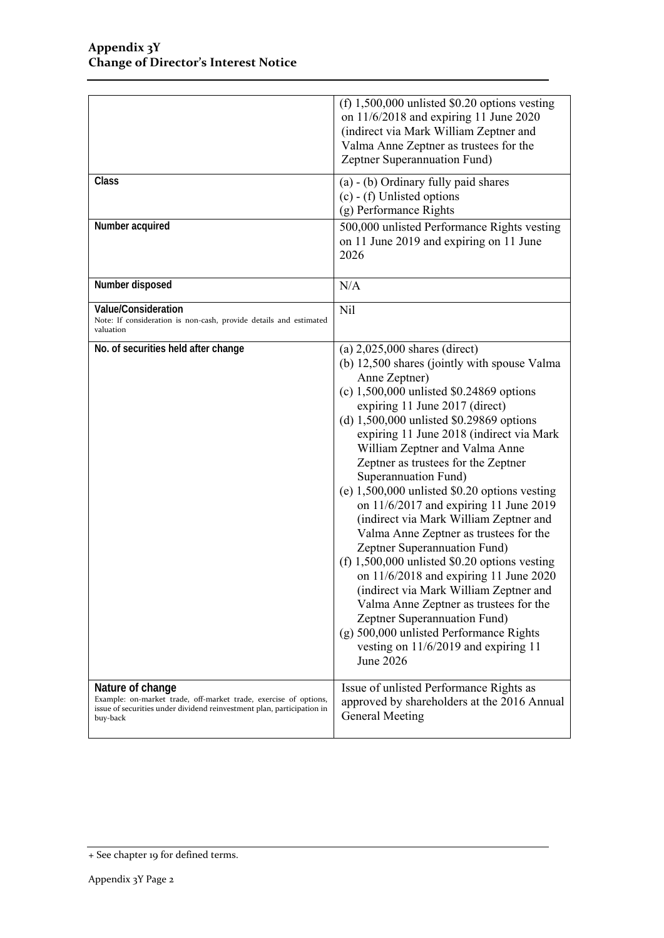|                                                                                                                                                                            | (f) $1,500,000$ unlisted \$0.20 options vesting<br>on $11/6/2018$ and expiring 11 June 2020<br>(indirect via Mark William Zeptner and<br>Valma Anne Zeptner as trustees for the<br>Zeptner Superannuation Fund)                                                                                                                                                                                                                                                                                                                                                                                                                                                                                                                                                                                                                                                                                                     |
|----------------------------------------------------------------------------------------------------------------------------------------------------------------------------|---------------------------------------------------------------------------------------------------------------------------------------------------------------------------------------------------------------------------------------------------------------------------------------------------------------------------------------------------------------------------------------------------------------------------------------------------------------------------------------------------------------------------------------------------------------------------------------------------------------------------------------------------------------------------------------------------------------------------------------------------------------------------------------------------------------------------------------------------------------------------------------------------------------------|
| Class                                                                                                                                                                      | (a) - (b) Ordinary fully paid shares<br>$(c)$ - (f) Unlisted options<br>(g) Performance Rights                                                                                                                                                                                                                                                                                                                                                                                                                                                                                                                                                                                                                                                                                                                                                                                                                      |
| Number acquired                                                                                                                                                            | 500,000 unlisted Performance Rights vesting<br>on 11 June 2019 and expiring on 11 June<br>2026                                                                                                                                                                                                                                                                                                                                                                                                                                                                                                                                                                                                                                                                                                                                                                                                                      |
| Number disposed                                                                                                                                                            | N/A                                                                                                                                                                                                                                                                                                                                                                                                                                                                                                                                                                                                                                                                                                                                                                                                                                                                                                                 |
| Value/Consideration<br>Note: If consideration is non-cash, provide details and estimated<br>valuation                                                                      | Nil                                                                                                                                                                                                                                                                                                                                                                                                                                                                                                                                                                                                                                                                                                                                                                                                                                                                                                                 |
| No. of securities held after change                                                                                                                                        | (a) $2,025,000$ shares (direct)<br>(b) 12,500 shares (jointly with spouse Valma<br>Anne Zeptner)<br>(c) $1,500,000$ unlisted \$0.24869 options<br>expiring 11 June 2017 (direct)<br>(d) $1,500,000$ unlisted \$0.29869 options<br>expiring 11 June 2018 (indirect via Mark<br>William Zeptner and Valma Anne<br>Zeptner as trustees for the Zeptner<br>Superannuation Fund)<br>(e) $1,500,000$ unlisted \$0.20 options vesting<br>on $11/6/2017$ and expiring 11 June 2019<br>(indirect via Mark William Zeptner and<br>Valma Anne Zeptner as trustees for the<br>Zeptner Superannuation Fund)<br>(f) $1,500,000$ unlisted \$0.20 options vesting<br>on $11/6/2018$ and expiring 11 June 2020<br>(indirect via Mark William Zeptner and<br>Valma Anne Zeptner as trustees for the<br>Zeptner Superannuation Fund)<br>(g) 500,000 unlisted Performance Rights<br>vesting on $11/6/2019$ and expiring 11<br>June 2026 |
| Nature of change<br>Example: on-market trade, off-market trade, exercise of options,<br>issue of securities under dividend reinvestment plan, participation in<br>buy-back | Issue of unlisted Performance Rights as<br>approved by shareholders at the 2016 Annual<br>General Meeting                                                                                                                                                                                                                                                                                                                                                                                                                                                                                                                                                                                                                                                                                                                                                                                                           |

<sup>+</sup> See chapter 19 for defined terms.